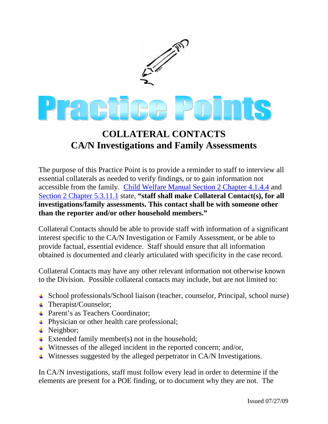

## **COLLATERAL CONTACTS CA/N Investigations and Family Assessments**

The purpose of this Practice Point is to provide a reminder to staff to interview all essential collaterals as needed to verify findings, or to gain information not accessible from the family. [Child Welfare Manual Section 2 Chapter 4.1.4.4](http://www.dss.mo.gov/cd/info/cwmanual/section2/ch4/sec2ch4sub1_4.htm) and [Section 2 Chapter 5.3.11.1](http://www.dss.mo.gov/cd/info/cwmanual/section2/ch5/sec2ch5sub3_11.htm#collateral_contacts) state, **"staff shall make Collateral Contact(s), for all investigations/family assessments. This contact shall be with someone other than the reporter and/or other household members."**

Collateral Contacts should be able to provide staff with information of a significant interest specific to the CA/N Investigation or Family Assessment, or be able to provide factual, essential evidence. Staff should ensure that all information obtained is documented and clearly articulated with specificity in the case record.

Collateral Contacts may have any other relevant information not otherwise known to the Division. Possible collateral contacts may include, but are not limited to:

- School professionals/School liaison (teacher, counselor, Principal, school nurse)
- Therapist/Counselor;
- **↓** Parent's as Teachers Coordinator;
- **Physician or other health care professional;**
- $\textcolor{red}{\bullet}$  Neighbor;
- $\triangleq$  Extended family member(s) not in the household;
- $\ddot{\bullet}$  Witnesses of the alleged incident in the reported concern; and/or,
- $\overline{\phantom{a}}$  Witnesses suggested by the alleged perpetrator in CA/N Investigations.

In CA/N investigations, staff must follow every lead in order to determine if the elements are present for a POE finding, or to document why they are not. The